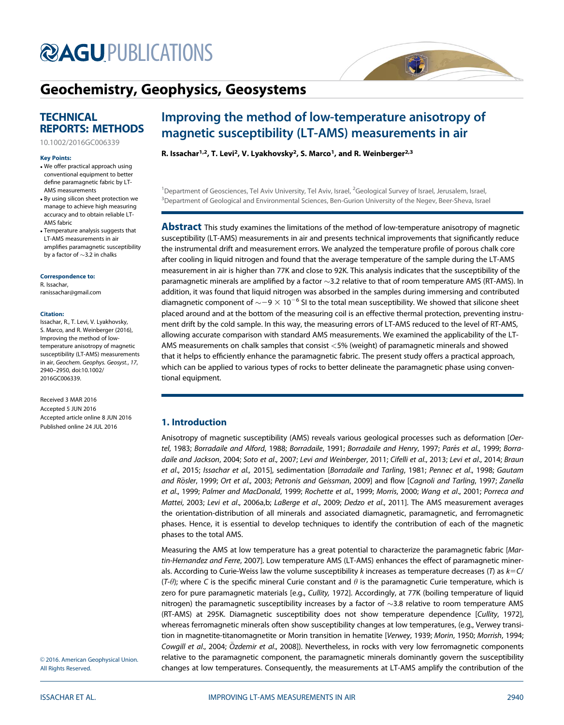# **@AGU[PUBLICATIONS](http://publications.agu.org/)**

# [Geochemistry, Geophysics, Geosystems](http://onlinelibrary.wiley.com/journal/10.1002/(ISSN)1525-2027/)

### **TECHNICAL** REPORTS: METHODS

[10.1002/2016GC006339](http://dx.doi.org/10.1002/2016GC006339)

#### Key Points:

- . We offer practical approach using conventional equipment to better define paramagnetic fabric by LT-AMS measurements
- . By using silicon sheet protection we manage to achieve high measuring accuracy and to obtain reliable LT-AMS fabric
- . Temperature analysis suggests that LT-AMS measurements in air amplifies paramagnetic susceptibility by a factor of  $\sim$ 3.2 in chalks

Correspondence to:

R. Issachar, ranissachar@gmail.com

#### Citation:

Issachar, R., T. Levi, V. Lyakhovsky, S. Marco, and R. Weinberger (2016), Improving the method of lowtemperature anisotropy of magnetic susceptibility (LT-AMS) measurements in air, Geochem. Geophys. Geosyst., 17, 2940–2950, doi:10.1002/ 2016GC006339.

Received 3 MAR 2016 Accepted 5 JUN 2016 Accepted article online 8 JUN 2016 Published online 24 JUL 2016

## Improving the method of low-temperature anisotropy of magnetic susceptibility (LT-AMS) measurements in air

R. Issachar<sup>1,2</sup>, T. Levi<sup>2</sup>, V. Lyakhovsky<sup>2</sup>, S. Marco<sup>1</sup>, and R. Weinberger<sup>2,3</sup>

<sup>1</sup>Department of Geosciences, Tel Aviv University, Tel Aviv, Israel, <sup>2</sup>Geological Survey of Israel, Jerusalem, Israel, <sup>3</sup> Department of Geological and Environmental Sciences, Ben-Gurion University of the Negev, Beer-Sheva, Israel

ČĆ

**Abstract** This study examines the limitations of the method of low-temperature anisotropy of magnetic susceptibility (LT-AMS) measurements in air and presents technical improvements that significantly reduce the instrumental drift and measurement errors. We analyzed the temperature profile of porous chalk core after cooling in liquid nitrogen and found that the average temperature of the sample during the LT-AMS measurement in air is higher than 77K and close to 92K. This analysis indicates that the susceptibility of the paramagnetic minerals are amplified by a factor  $\sim$ 3.2 relative to that of room temperature AMS (RT-AMS). In addition, it was found that liquid nitrogen was absorbed in the samples during immersing and contributed diamagnetic component of  $\sim$   $-9 \times 10^{-6}$  SI to the total mean susceptibility. We showed that silicone sheet placed around and at the bottom of the measuring coil is an effective thermal protection, preventing instrument drift by the cold sample. In this way, the measuring errors of LT-AMS reduced to the level of RT-AMS, allowing accurate comparison with standard AMS measurements. We examined the applicability of the LT-AMS measurements on chalk samples that consist <5% (weight) of paramagnetic minerals and showed that it helps to efficiently enhance the paramagnetic fabric. The present study offers a practical approach, which can be applied to various types of rocks to better delineate the paramagnetic phase using conventional equipment.

#### 1. Introduction

Anisotropy of magnetic susceptibility (AMS) reveals various geological processes such as deformation [Oertel, 1983; Borradaile and Alford, 1988; Borradaile, 1991; Borradaile and Henry, 1997; Parés et al., 1999; Borradaile and Jackson, 2004; Soto et al., 2007; Levi and Weinberger, 2011; Cifelli et al., 2013; Levi et al., 2014; Braun et al., 2015; Issachar et al., 2015], sedimentation [Borradaile and Tarling, 1981; Pennec et al., 1998; Gautam and Rösler, 1999; Ort et al., 2003; Petronis and Geissman, 2009] and flow [Cagnoli and Tarling, 1997; Zanella et al., 1999; Palmer and MacDonald, 1999; Rochette et al., 1999; Morris, 2000; Wang et al., 2001; Porreca and Mattei, 2003; Levi et al., 2006a,b; LaBerge et al., 2009; Dedzo et al., 2011]. The AMS measurement averages the orientation-distribution of all minerals and associated diamagnetic, paramagnetic, and ferromagnetic phases. Hence, it is essential to develop techniques to identify the contribution of each of the magnetic phases to the total AMS.

Measuring the AMS at low temperature has a great potential to characterize the paramagnetic fabric [Martin-Hernandez and Ferre, 2007]. Low temperature AMS (LT-AMS) enhances the effect of paramagnetic minerals. According to Curie-Weiss law the volume susceptibility k increases as temperature decreases (T) as  $k=C/$  $(T-\theta)$ ; where C is the specific mineral Curie constant and  $\theta$  is the paramagnetic Curie temperature, which is zero for pure paramagnetic materials [e.g., Cullity, 1972]. Accordingly, at 77K (boiling temperature of liquid nitrogen) the paramagnetic susceptibility increases by a factor of  $\sim$ 3.8 relative to room temperature AMS (RT-AMS) at 295K. Diamagnetic susceptibility does not show temperature dependence [Cullity, 1972], whereas ferromagnetic minerals often show susceptibility changes at low temperatures, (e.g., Verwey transition in magnetite-titanomagnetite or Morin transition in hematite [Verwey, 1939; Morin, 1950; Morrish, 1994; Cowgill et al., 2004; Ozdemir et al., 2008]). Nevertheless, in rocks with very low ferromagnetic components relative to the paramagnetic component, the paramagnetic minerals dominantly govern the susceptibility changes at low temperatures. Consequently, the measurements at LT-AMS amplify the contribution of the

© 2016. American Geophysical Union. All Rights Reserved.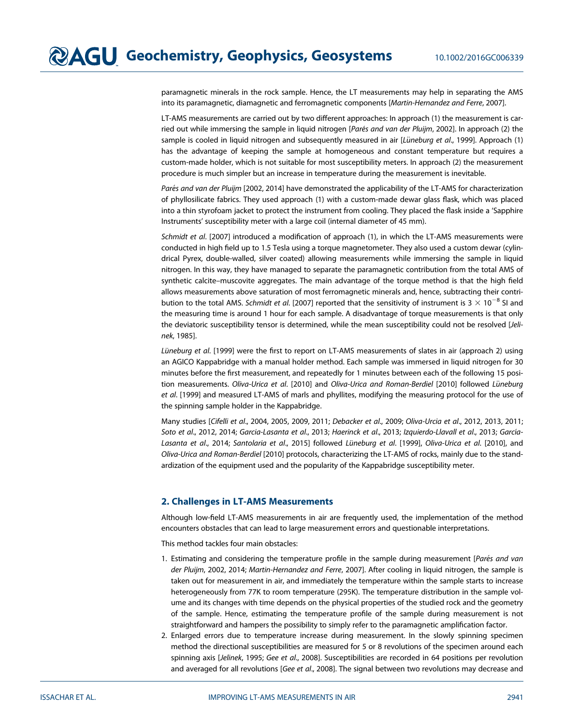paramagnetic minerals in the rock sample. Hence, the LT measurements may help in separating the AMS into its paramagnetic, diamagnetic and ferromagnetic components [Martin-Hernandez and Ferre, 2007].

LT-AMS measurements are carried out by two different approaches: In approach (1) the measurement is carried out while immersing the sample in liquid nitrogen [Parés and van der Pluijm, 2002]. In approach (2) the sample is cooled in liquid nitrogen and subsequently measured in air [Lüneburg et al., 1999]. Approach (1) has the advantage of keeping the sample at homogeneous and constant temperature but requires a custom-made holder, which is not suitable for most susceptibility meters. In approach (2) the measurement procedure is much simpler but an increase in temperature during the measurement is inevitable.

Parés and van der Pluijm [2002, 2014] have demonstrated the applicability of the LT-AMS for characterization of phyllosilicate fabrics. They used approach (1) with a custom-made dewar glass flask, which was placed into a thin styrofoam jacket to protect the instrument from cooling. They placed the flask inside a 'Sapphire Instruments' susceptibility meter with a large coil (internal diameter of 45 mm).

Schmidt et al. [2007] introduced a modification of approach (1), in which the LT-AMS measurements were conducted in high field up to 1.5 Tesla using a torque magnetometer. They also used a custom dewar (cylindrical Pyrex, double-walled, silver coated) allowing measurements while immersing the sample in liquid nitrogen. In this way, they have managed to separate the paramagnetic contribution from the total AMS of synthetic calcite–muscovite aggregates. The main advantage of the torque method is that the high field allows measurements above saturation of most ferromagnetic minerals and, hence, subtracting their contribution to the total AMS. Schmidt et al. [2007] reported that the sensitivity of instrument is 3  $\times$  10<sup>-8</sup> SI and the measuring time is around 1 hour for each sample. A disadvantage of torque measurements is that only the deviatoric susceptibility tensor is determined, while the mean susceptibility could not be resolved [Jelinek, 1985].

Lüneburg et al. [1999] were the first to report on LT-AMS measurements of slates in air (approach 2) using an AGICO Kappabridge with a manual holder method. Each sample was immersed in liquid nitrogen for 30 minutes before the first measurement, and repeatedly for 1 minutes between each of the following 15 position measurements. Oliva-Urica et al. [2010] and Oliva-Urica and Roman-Berdiel [2010] followed Lüneburg et al. [1999] and measured LT-AMS of marls and phyllites, modifying the measuring protocol for the use of the spinning sample holder in the Kappabridge.

Many studies [Cifelli et al., 2004, 2005, 2009, 2011; Debacker et al., 2009; Oliva-Urcia et al., 2012, 2013, 2011; Soto et al., 2012, 2014; Garcia-Lasanta et al., 2013; Haerinck et al., 2013; Izquierdo-Llavall et al., 2013; García-Lasanta et al., 2014; Santolaria et al., 2015] followed Lüneburg et al. [1999], Oliva-Urica et al. [2010], and Oliva-Urica and Roman-Berdiel [2010] protocols, characterizing the LT-AMS of rocks, mainly due to the standardization of the equipment used and the popularity of the Kappabridge susceptibility meter.

#### 2. Challenges in LT-AMS Measurements

Although low-field LT-AMS measurements in air are frequently used, the implementation of the method encounters obstacles that can lead to large measurement errors and questionable interpretations.

This method tackles four main obstacles:

- 1. Estimating and considering the temperature profile in the sample during measurement [Parés and van der Pluijm, 2002, 2014; Martin-Hernandez and Ferre, 2007]. After cooling in liquid nitrogen, the sample is taken out for measurement in air, and immediately the temperature within the sample starts to increase heterogeneously from 77K to room temperature (295K). The temperature distribution in the sample volume and its changes with time depends on the physical properties of the studied rock and the geometry of the sample. Hence, estimating the temperature profile of the sample during measurement is not straightforward and hampers the possibility to simply refer to the paramagnetic amplification factor.
- 2. Enlarged errors due to temperature increase during measurement. In the slowly spinning specimen method the directional susceptibilities are measured for 5 or 8 revolutions of the specimen around each spinning axis [Jelinek, 1995; Gee et al., 2008]. Susceptibilities are recorded in 64 positions per revolution and averaged for all revolutions [Gee et al., 2008]. The signal between two revolutions may decrease and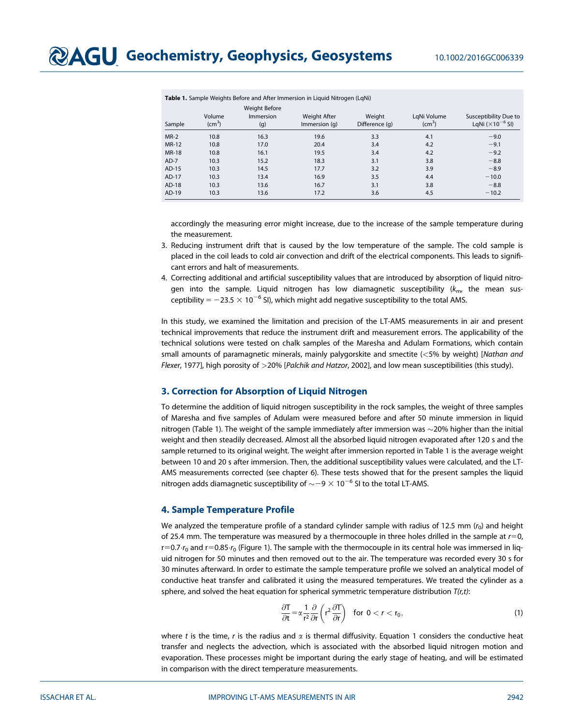| Sample       | Volume<br>$\rm (cm^3)$ | <b>Weight Before</b><br><b>Immersion</b><br>(g) | Weight After<br>Immersion (g) | Weight<br>Difference (g) | LqNi Volume<br>$\rm (cm^3)$ | Susceptibility Due to<br>LgNi $(x10^{-6}$ SI) |
|--------------|------------------------|-------------------------------------------------|-------------------------------|--------------------------|-----------------------------|-----------------------------------------------|
| $MR-2$       | 10.8                   | 16.3                                            | 19.6                          | 3.3                      | 4.1                         | $-9.0$                                        |
| MR-12        | 10.8                   | 17.0                                            | 20.4                          | 3.4                      | 4.2                         | $-9.1$                                        |
| <b>MR-18</b> | 10.8                   | 16.1                                            | 19.5                          | 3.4                      | 4.2                         | $-9.2$                                        |
| $AD-7$       | 10.3                   | 15.2                                            | 18.3                          | 3.1                      | 3.8                         | $-8.8$                                        |
| AD-15        | 10.3                   | 14.5                                            | 17.7                          | 3.2                      | 3.9                         | $-8.9$                                        |
| AD-17        | 10.3                   | 13.4                                            | 16.9                          | 3.5                      | 4.4                         | $-10.0$                                       |
| AD-18        | 10.3                   | 13.6                                            | 16.7                          | 3.1                      | 3.8                         | $-8.8$                                        |
| AD-19        | 10.3                   | 13.6                                            | 17.2                          | 3.6                      | 4.5                         | $-10.2$                                       |

Table 1. Sample Weights Before and After Immersion in Liquid Nitrogen (LgNi)

accordingly the measuring error might increase, due to the increase of the sample temperature during the measurement.

- 3. Reducing instrument drift that is caused by the low temperature of the sample. The cold sample is placed in the coil leads to cold air convection and drift of the electrical components. This leads to significant errors and halt of measurements.
- 4. Correcting additional and artificial susceptibility values that are introduced by absorption of liquid nitrogen into the sample. Liquid nitrogen has low diamagnetic susceptibility  $(k_{\rm m}$ , the mean susceptibility =  $-23.5 \times 10^{-6}$  SI), which might add negative susceptibility to the total AMS.

In this study, we examined the limitation and precision of the LT-AMS measurements in air and present technical improvements that reduce the instrument drift and measurement errors. The applicability of the technical solutions were tested on chalk samples of the Maresha and Adulam Formations, which contain small amounts of paramagnetic minerals, mainly palygorskite and smectite (<5% by weight) [Nathan and Flexer, 1977], high porosity of >20% [Palchik and Hatzor, 2002], and low mean susceptibilities (this study).

#### 3. Correction for Absorption of Liquid Nitrogen

To determine the addition of liquid nitrogen susceptibility in the rock samples, the weight of three samples of Maresha and five samples of Adulam were measured before and after 50 minute immersion in liquid nitrogen (Table 1). The weight of the sample immediately after immersion was  $\sim$ 20% higher than the initial weight and then steadily decreased. Almost all the absorbed liquid nitrogen evaporated after 120 s and the sample returned to its original weight. The weight after immersion reported in Table 1 is the average weight between 10 and 20 s after immersion. Then, the additional susceptibility values were calculated, and the LT-AMS measurements corrected (see chapter 6). These tests showed that for the present samples the liquid nitrogen adds diamagnetic susceptibility of  $\sim$   $-9 \times$  10<sup> $-6$ </sup> SI to the total LT-AMS.

#### 4. Sample Temperature Profile

We analyzed the temperature profile of a standard cylinder sample with radius of 12.5 mm  $(r_0)$  and height of 25.4 mm. The temperature was measured by a thermocouple in three holes drilled in the sample at  $r=0$ ,  $r=0.7 \cdot r_0$  and  $r=0.85 \cdot r_0$  (Figure 1). The sample with the thermocouple in its central hole was immersed in liquid nitrogen for 50 minutes and then removed out to the air. The temperature was recorded every 30 s for 30 minutes afterward. In order to estimate the sample temperature profile we solved an analytical model of conductive heat transfer and calibrated it using the measured temperatures. We treated the cylinder as a sphere, and solved the heat equation for spherical symmetric temperature distribution  $T(r,t)$ :

$$
\frac{\partial T}{\partial t} = \alpha \frac{1}{r^2} \frac{\partial}{\partial r} \left( r^2 \frac{\partial T}{\partial r} \right) \quad \text{for } 0 < r < r_0,\tag{1}
$$

where t is the time, r is the radius and  $\alpha$  is thermal diffusivity. Equation 1 considers the conductive heat transfer and neglects the advection, which is associated with the absorbed liquid nitrogen motion and evaporation. These processes might be important during the early stage of heating, and will be estimated in comparison with the direct temperature measurements.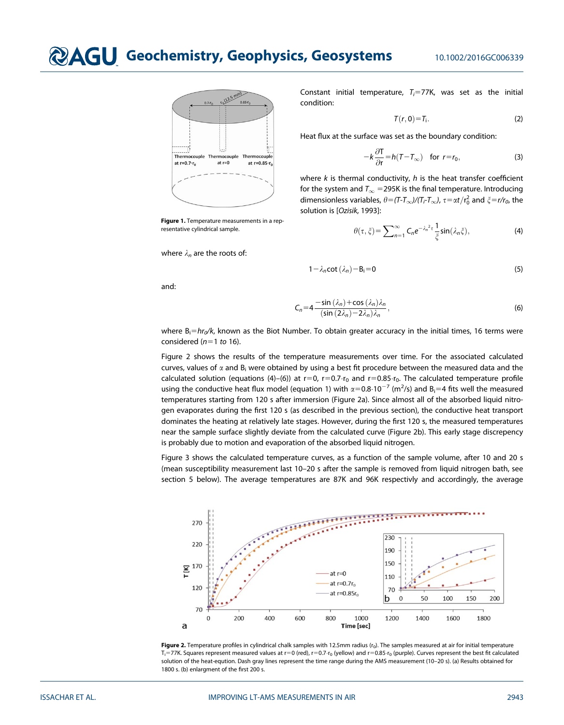# **@AGU Geochemistry, Geophysics, Geosystems** 10.1002/2016GC006339



Figure 1. Temperature measurements in a representative cylindrical sample.

where  $\lambda_n$  are the roots of:

Constant initial temperature,  $T_i = 77K$ , was set as the initial condition:

$$
T(r,0)=T_i.
$$
 (2)

Heat flux at the surface was set as the boundary condition:

$$
-k\frac{\partial \mathsf{T}}{\partial \mathsf{r}} = h(\mathsf{T} - \mathsf{T}_{\infty}) \quad \text{for } \mathsf{r} = \mathsf{r}_0,\tag{3}
$$

where  $k$  is thermal conductivity,  $h$  is the heat transfer coefficient for the system and  $T_{\infty}$  = 295K is the final temperature. Introducing dimensionless variables,  $\theta = (T-T_{\infty})/(T_f-T_{\infty})$ ,  $\tau = \alpha t/r_0^2$  and  $\xi = r/r_0$ , the solution is [Ozisik, 1993]:

$$
\theta(\tau,\xi) = \sum_{n=1}^{\infty} C_n e^{-\lambda_n^2 \tau} \frac{1}{\xi} \sin(\lambda_n \xi), \tag{4}
$$

$$
1 - \lambda_n \cot(\lambda_n) - B_i = 0 \tag{5}
$$

and:

$$
C_n = 4 \frac{-\sin(\lambda_n) + \cos(\lambda_n)\lambda_n}{(\sin(2\lambda_n) - 2\lambda_n)\lambda_n},
$$
\n(6)

where  $B_i=hr_0/k$ , known as the Biot Number. To obtain greater accuracy in the initial times, 16 terms were considered  $(n=1 \text{ to } 16)$ .

Figure 2 shows the results of the temperature measurements over time. For the associated calculated curves, values of  $\alpha$  and  $B_i$  were obtained by using a best fit procedure between the measured data and the calculated solution (equations (4)–(6)) at  $r=0$ ,  $r=0.7 \cdot r_0$  and  $r=0.85 \cdot r_0$ . The calculated temperature profile using the conductive heat flux model (equation 1) with  $\alpha=0.8 \cdot 10^{-7}$  (m<sup>2</sup>/s) and B<sub>i</sub>=4 fits well the measured temperatures starting from 120 s after immersion (Figure 2a). Since almost all of the absorbed liquid nitrogen evaporates during the first 120 s (as described in the previous section), the conductive heat transport dominates the heating at relatively late stages. However, during the first 120 s, the measured temperatures near the sample surface slightly deviate from the calculated curve (Figure 2b). This early stage discrepency is probably due to motion and evaporation of the absorbed liquid nitrogen.

Figure 3 shows the calculated temperature curves, as a function of the sample volume, after 10 and 20 s (mean susceptibility measurement last 10–20 s after the sample is removed from liquid nitrogen bath, see section 5 below). The average temperatures are 87K and 96K respectivly and accordingly, the average



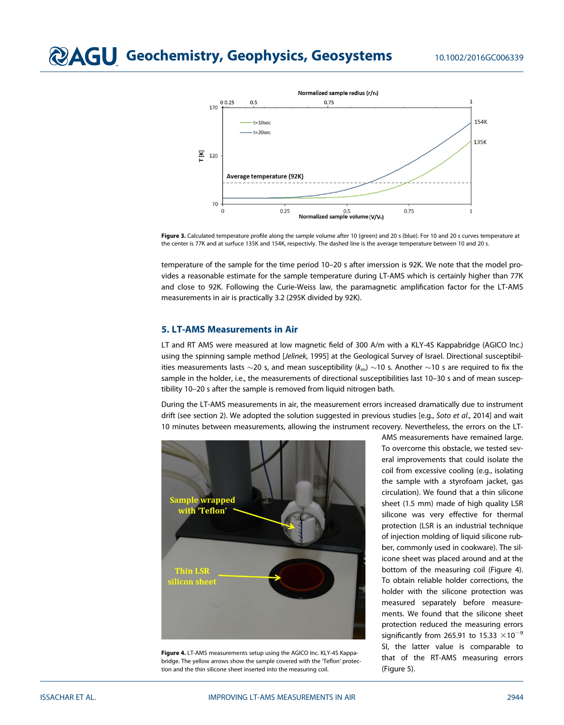

Figure 3. Calculated temperature profile along the sample volume after 10 (green) and 20 s (blue). For 10 and 20 s curves temperature at the center is 77K and at surfuce 135K and 154K, respectivly. The dashed line is the average temperature between 10 and 20 s.

temperature of the sample for the time period 10–20 s after imerssion is 92K. We note that the model provides a reasonable estimate for the sample temperature during LT-AMS which is certainly higher than 77K and close to 92K. Following the Curie-Weiss law, the paramagnetic amplification factor for the LT-AMS measurements in air is practically 3.2 (295K divided by 92K).

#### 5. LT-AMS Measurements in Air

LT and RT AMS were measured at low magnetic field of 300 A/m with a KLY-4S Kappabridge (AGICO Inc.) using the spinning sample method [Jelinek, 1995] at the Geological Survey of Israel. Directional susceptibilities measurements lasts  $\sim$ 20 s, and mean susceptibility ( $k_m$ )  $\sim$ 10 s. Another  $\sim$ 10 s are required to fix the sample in the holder, i.e., the measurements of directional susceptibilities last 10-30 s and of mean susceptibility 10–20 s after the sample is removed from liquid nitrogen bath.

During the LT-AMS measurements in air, the measurement errors increased dramatically due to instrument drift (see section 2). We adopted the solution suggested in previous studies [e.g., Soto et al., 2014] and wait 10 minutes between measurements, allowing the instrument recovery. Nevertheless, the errors on the LT-



Figure 4. LT-AMS measurements setup using the AGICO Inc. KLY-4S Kappabridge. The yellow arrows show the sample covered with the 'Teflon' protection and the thin silicone sheet inserted into the measuring coil.

AMS measurements have remained large. To overcome this obstacle, we tested several improvements that could isolate the coil from excessive cooling (e.g., isolating the sample with a styrofoam jacket, gas circulation). We found that a thin silicone sheet (1.5 mm) made of high quality LSR silicone was very effective for thermal protection (LSR is an industrial technique of injection molding of liquid silicone rubber, commonly used in cookware). The silicone sheet was placed around and at the bottom of the measuring coil (Figure 4). To obtain reliable holder corrections, the holder with the silicone protection was measured separately before measurements. We found that the silicone sheet protection reduced the measuring errors significantly from 265.91 to 15.33  $\times$ 10<sup>-9</sup> SI, the latter value is comparable to that of the RT-AMS measuring errors (Figure 5).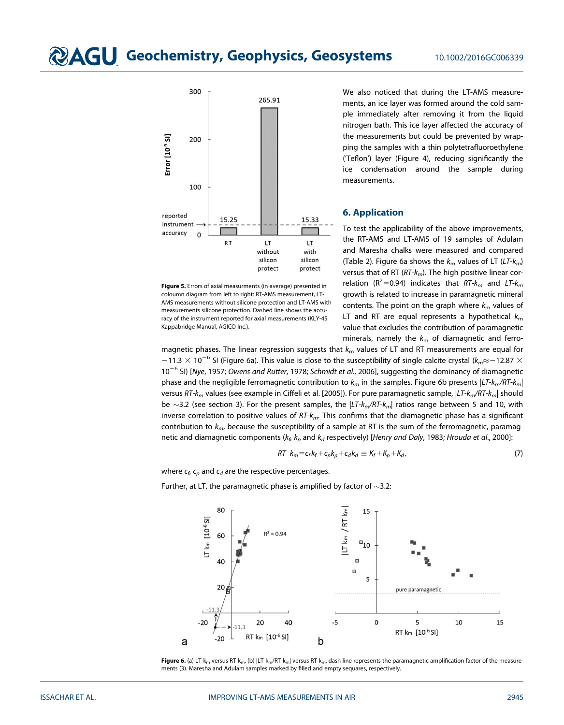

Figure 5. Errors of axial measurments (in average) presented in coloumn diagram from left to right: RT-AMS measurement, LT-AMS measurements without silicone protection and LT-AMS with measurements silicone protection. Dashed line shows the accuracy of the instrument reported for axial measurements (KLY-4S Kappabridge Manual, AGICO Inc.).

We also noticed that during the LT-AMS measurements, an ice layer was formed around the cold sample immediately after removing it from the liquid nitrogen bath. This ice layer affected the accuracy of the measurements but could be prevented by wrapping the samples with a thin polytetrafluoroethylene ('Teflon') layer (Figure 4), reducing significantly the ice condensation around the sample during measurements.

#### 6. Application

To test the applicability of the above improvements, the RT-AMS and LT-AMS of 19 samples of Adulam and Maresha chalks were measured and compared (Table 2). Figure 6a shows the  $k<sub>m</sub>$  values of LT (LT- $k<sub>m</sub>$ ) versus that of RT ( $RT-k_m$ ). The high positive linear correlation ( $R^2$ =0.94) indicates that  $RT$ - $k_m$  and  $LT$ - $k_m$ growth is related to increase in paramagnetic mineral contents. The point on the graph where  $k<sub>m</sub>$  values of LT and RT are equal represents a hypothetical  $k<sub>m</sub>$ value that excludes the contribution of paramagnetic minerals, namely the  $k_m$  of diamagnetic and ferro-

magnetic phases. The linear regression suggests that  $k_m$  values of LT and RT measurements are equal for  $-11.3 \times 10^{-6}$  SI (Figure 6a). This value is close to the susceptibility of single calcite crystal ( $k_m \approx -12.87 \times$  $10^{-6}$  SI) [Nye, 1957; Owens and Rutter, 1978; Schmidt et al., 2006], suggesting the dominancy of diamagnetic phase and the negligible ferromagnetic contribution to  $k_m$  in the samples. Figure 6b presents  $|LT\cdot k_m/RT\cdot k_m|$ versus RT- $k_m$  values (see example in Ciffeli et al. [2005]). For pure paramagnetic sample,  $|LT-k_m/RT-k_m|$  should be  $\sim$ 3.2 (see section 3). For the present samples, the  $|LT\kappa_m/RT\kappa_m|$  ratios range between 5 and 10, with inverse correlation to positive values of  $RT-k_m$ . This confirms that the diamagnetic phase has a significant contribution to  $k_{m}$ , because the susceptibility of a sample at RT is the sum of the ferromagnetic, paramagnetic and diamagnetic components ( $k_f$ ,  $k_p$  and  $k_d$  respectively) [Henry and Daly, 1983; Hrouda et al., 2000]:

$$
RT k_m = c_f k_f + c_p k_p + c_d k_d \equiv K_f + K_p + K_d, \qquad (7)
$$

where  $c_f$ ,  $c_p$  and  $c_d$  are the respective percentages.

Further, at LT, the paramagnetic phase is amplified by factor of  $\sim$ 3.2:



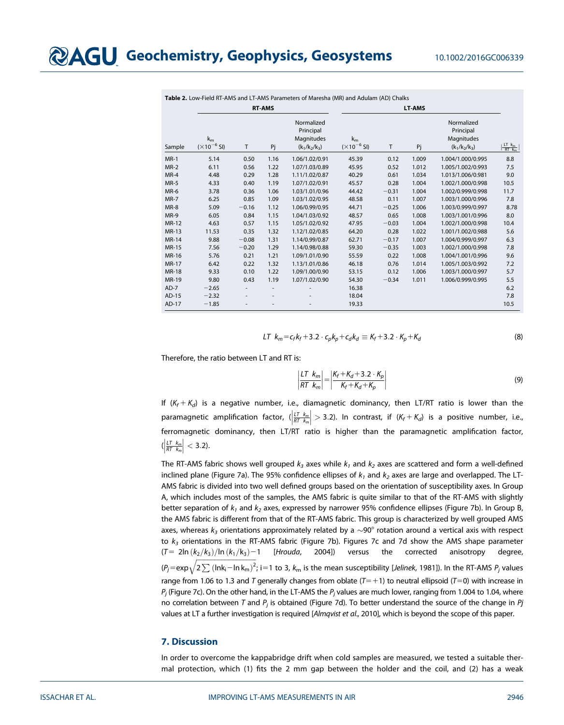|              | <b>RT-AMS</b>                             |                          |                          |                                                          | <b>LT-AMS</b>                                |         |       |                                                          |                                                           |
|--------------|-------------------------------------------|--------------------------|--------------------------|----------------------------------------------------------|----------------------------------------------|---------|-------|----------------------------------------------------------|-----------------------------------------------------------|
| Sample       | $k_{m}$<br>$-6$ SI)<br>$(\times 10^{-7})$ | T                        | Pj                       | Normalized<br>Principal<br>Magnitudes<br>$(k_1/k_2/k_3)$ | $k_{m}$<br>$^{-6}$ SI)<br>$(\times 10^{-7})$ | T       | Pj    | Normalized<br>Principal<br>Magnitudes<br>$(k_1/k_2/k_3)$ | $rac{\mathsf{LT}}{\mathsf{RT}}$ $\mathsf{k}_{\mathsf{m}}$ |
| $MR-1$       | 5.14                                      | 0.50                     | 1.16                     | 1.06/1.02/0.91                                           | 45.39                                        | 0.12    | 1.009 | 1.004/1.000/0.995                                        | 8.8                                                       |
| $MR-2$       | 6.11                                      | 0.56                     | 1.22                     | 1.07/1.03/0.89                                           | 45.95                                        | 0.52    | 1.012 | 1.005/1.002/0.993                                        | 7.5                                                       |
| MR-4         | 4.48                                      | 0.29                     | 1.28                     | 1.11/1.02/0.87                                           | 40.29                                        | 0.61    | 1.034 | 1.013/1.006/0.981                                        | 9.0                                                       |
| MR-5         | 4.33                                      | 0.40                     | 1.19                     | 1.07/1.02/0.91                                           | 45.57                                        | 0.28    | 1.004 | 1.002/1.000/0.998                                        | 10.5                                                      |
| MR-6         | 3.78                                      | 0.36                     | 1.06                     | 1.03/1.01/0.96                                           | 44.42                                        | $-0.31$ | 1.004 | 1.002/0.999/0.998                                        | 11.7                                                      |
| MR-7         | 6.25                                      | 0.85                     | 1.09                     | 1.03/1.02/0.95                                           | 48.58                                        | 0.11    | 1.007 | 1.003/1.000/0.996                                        | 7.8                                                       |
| MR-8         | 5.09                                      | $-0.16$                  | 1.12                     | 1.06/0.99/0.95                                           | 44.71                                        | $-0.25$ | 1.006 | 1.003/0.999/0.997                                        | 8.78                                                      |
| MR-9         | 6.05                                      | 0.84                     | 1.15                     | 1.04/1.03/0.92                                           | 48.57                                        | 0.65    | 1.008 | 1.003/1.001/0.996                                        | 8.0                                                       |
| MR-12        | 4.63                                      | 0.57                     | 1.15                     | 1.05/1.02/0.92                                           | 47.95                                        | $-0.03$ | 1.004 | 1.002/1.000/0.998                                        | 10.4                                                      |
| MR-13        | 11.53                                     | 0.35                     | 1.32                     | 1.12/1.02/0.85                                           | 64.20                                        | 0.28    | 1.022 | 1.001/1.002/0.988                                        | 5.6                                                       |
| <b>MR-14</b> | 9.88                                      | $-0.08$                  | 1.31                     | 1.14/0.99/0.87                                           | 62.71                                        | $-0.17$ | 1.007 | 1.004/0.999/0.997                                        | 6.3                                                       |
| <b>MR-15</b> | 7.56                                      | $-0.20$                  | 1.29                     | 1.14/0.98/0.88                                           | 59.30                                        | $-0.35$ | 1.003 | 1.002/1.000/0.998                                        | 7.8                                                       |
| MR-16        | 5.76                                      | 0.21                     | 1.21                     | 1.09/1.01/0.90                                           | 55.59                                        | 0.22    | 1.008 | 1.004/1.001/0.996                                        | 9.6                                                       |
| MR-17        | 6.42                                      | 0.22                     | 1.32                     | 1.13/1.01/0.86                                           | 46.18                                        | 0.76    | 1.014 | 1.005/1.003/0.992                                        | 7.2                                                       |
| <b>MR-18</b> | 9.33                                      | 0.10                     | 1.22                     | 1.09/1.00/0.90                                           | 53.15                                        | 0.12    | 1.006 | 1.003/1.000/0.997                                        | 5.7                                                       |
| MR-19        | 9.80                                      | 0.43                     | 1.19                     | 1.07/1.02/0.90                                           | 54.30                                        | $-0.34$ | 1.011 | 1.006/0.999/0.995                                        | 5.5                                                       |
| $AD-7$       | $-2.65$                                   | $\overline{\phantom{a}}$ | $\overline{\phantom{a}}$ |                                                          | 16.38                                        |         |       |                                                          | 6.2                                                       |
| AD-15        | $-2.32$                                   |                          |                          |                                                          | 18.04                                        |         |       |                                                          | 7.8                                                       |
| AD-17        | $-1.85$                                   |                          |                          |                                                          | 19.33                                        |         |       |                                                          | 10.5                                                      |

Table 2. Low-Field RT-AMS and LT-AMS Parameters of Maresha (MR) and Adulam (AD) Chalks

$$
LT \ k_m = c_f k_f + 3.2 \cdot c_p k_p + c_d k_d \equiv K_f + 3.2 \cdot K_p + K_d \tag{8}
$$

Therefore, the ratio between LT and RT is:

$$
\left|\frac{l\tau}{RT}\frac{k_m}{k_m}\right| = \left|\frac{K_f + K_d + 3.2 \cdot K_p}{K_f + K_d + K_p}\right|
$$
\n(9)

If  $(K_f + K_d)$  is a negative number, i.e., diamagnetic dominancy, then LT/RT ratio is lower than the paramagnetic amplification factor,  $(\frac{|I| T k_m}{R T k_m})$  $\begin{array}{|c|c|} \hline \multicolumn{1}{|}{\textbf{1}} & \multicolumn{1}{|}{\textbf{1}} \\ \hline \multicolumn{1}{|}{\textbf{1}} & \multicolumn{1}{|}{\textbf{1}} \\ \hline \multicolumn{1}{|}{\textbf{1}} & \multicolumn{1}{|}{\textbf{1}} \\ \hline \multicolumn{1}{|}{\textbf{1}} & \multicolumn{1}{|}{\textbf{1}} \\ \hline \multicolumn{1}{|}{\textbf{1}} & \multicolumn{1}{|}{\textbf{1}} \\ \hline \multicolumn{1}{|}{\textbf{1}} & \multicolumn{1}{|}{\textbf{1}}$  $=$  3.2). In contrast, if  $(K_f + K_d)$  is a positive number, i.e., ferromagnetic dominancy, then LT/RT ratio is higher than the paramagnetic amplification factor,  $(\frac{LT}{RT}$   $\frac{k_m}{k_m}$  $\begin{array}{|c|c|} \hline \multicolumn{1}{|}{\textbf{1}} & \multicolumn{1}{|}{\textbf{1}} \\ \hline \multicolumn{1}{|}{\textbf{1}} & \multicolumn{1}{|}{\textbf{1}} \\ \hline \multicolumn{1}{|}{\textbf{1}} & \multicolumn{1}{|}{\textbf{1}} \\ \hline \multicolumn{1}{|}{\textbf{1}} & \multicolumn{1}{|}{\textbf{1}} \\ \hline \multicolumn{1}{|}{\textbf{1}} & \multicolumn{1}{|}{\textbf{1}} \\ \hline \multicolumn{1}{|}{\textbf{1}} & \multicolumn{1}{|}{\textbf{1}}$  $\vert$  < 3.2).

The RT-AMS fabric shows well grouped  $k_3$  axes while  $k_1$  and  $k_2$  axes are scattered and form a well-defined inclined plane (Figure 7a). The 95% confidence ellipses of  $k_1$  and  $k_2$  axes are large and overlapped. The LT-AMS fabric is divided into two well defined groups based on the orientation of susceptibility axes. In Group A, which includes most of the samples, the AMS fabric is quite similar to that of the RT-AMS with slightly better separation of  $k_1$  and  $k_2$  axes, expressed by narrower 95% confidence ellipses (Figure 7b). In Group B, the AMS fabric is different from that of the RT-AMS fabric. This group is characterized by well grouped AMS axes, whereas  $k_3$  orientations approximately related by a  $\sim$ 90° rotation around a vertical axis with respect to  $k_3$  orientations in the RT-AMS fabric (Figure 7b). Figures 7c and 7d show the AMS shape parameter  $(T= 2\ln (k_2/k_3)/\ln (k_1/k_3)-1$  [Hrouda, 2004]) versus the corrected anisotropy degree,  $(p_j=$ exp $\sqrt{2\sum \left(\ln\!_i\!-\!\ln\mathsf{k}_\mathsf{m}\right)^2}$ ; i=1 to 3,  $k_\mathsf{m}$  is the mean susceptibility [*Jelinek*, 1981]). In the RT-AMS  $P_j$  values range from 1.06 to 1.3 and T generally changes from oblate  $(T=+1)$  to neutral ellipsoid (T=0) with increase in  $P_j$  (Figure 7c). On the other hand, in the LT-AMS the  $P_j$  values are much lower, ranging from 1.004 to 1.04, where no correlation between T and  $P_i$  is obtained (Figure 7d). To better understand the source of the change in  $P_j$ values at LT a further investigation is required [Almqvist et al., 2010], which is beyond the scope of this paper.

#### 7. Discussion

In order to overcome the kappabridge drift when cold samples are measured, we tested a suitable thermal protection, which (1) fits the 2 mm gap between the holder and the coil, and (2) has a weak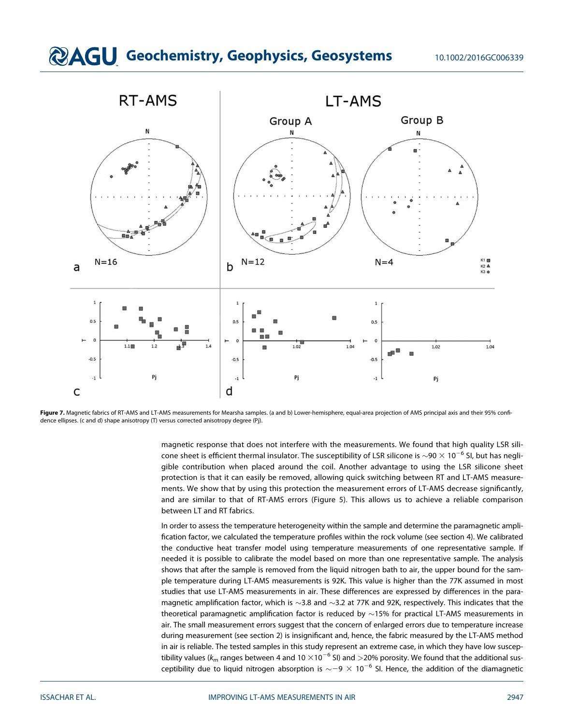

Figure 7. Magnetic fabrics of RT-AMS and LT-AMS measurements for Mearsha samples. (a and b) Lower-hemisphere, equal-area projection of AMS principal axis and their 95% confidence ellipses. (c and d) shape anisotropy (T) versus corrected anisotropy degree (Pj).

magnetic response that does not interfere with the measurements. We found that high quality LSR silicone sheet is efficient thermal insulator. The susceptibility of LSR silicone is  $\sim$ 90  $\times$  10<sup>-6</sup> SI, but has negligible contribution when placed around the coil. Another advantage to using the LSR silicone sheet protection is that it can easily be removed, allowing quick switching between RT and LT-AMS measurements. We show that by using this protection the measurement errors of LT-AMS decrease significantly, and are similar to that of RT-AMS errors (Figure 5). This allows us to achieve a reliable comparison between LT and RT fabrics.

In order to assess the temperature heterogeneity within the sample and determine the paramagnetic amplification factor, we calculated the temperature profiles within the rock volume (see section 4). We calibrated the conductive heat transfer model using temperature measurements of one representative sample. If needed it is possible to calibrate the model based on more than one representative sample. The analysis shows that after the sample is removed from the liquid nitrogen bath to air, the upper bound for the sample temperature during LT-AMS measurements is 92K. This value is higher than the 77K assumed in most studies that use LT-AMS measurements in air. These differences are expressed by differences in the paramagnetic amplification factor, which is  $\sim$ 3.8 and  $\sim$ 3.2 at 77K and 92K, respectively. This indicates that the theoretical paramagnetic amplification factor is reduced by  $\sim$ 15% for practical LT-AMS measurements in air. The small measurement errors suggest that the concern of enlarged errors due to temperature increase during measurement (see section 2) is insignificant and, hence, the fabric measured by the LT-AMS method in air is reliable. The tested samples in this study represent an extreme case, in which they have low susceptibility values ( $k_m$  ranges between 4 and 10  $\times$ 10<sup>-6</sup> SI) and >20% porosity. We found that the additional susceptibility due to liquid nitrogen absorption is  $\sim$  –9  $\times$  10<sup>-6</sup> SI. Hence, the addition of the diamagnetic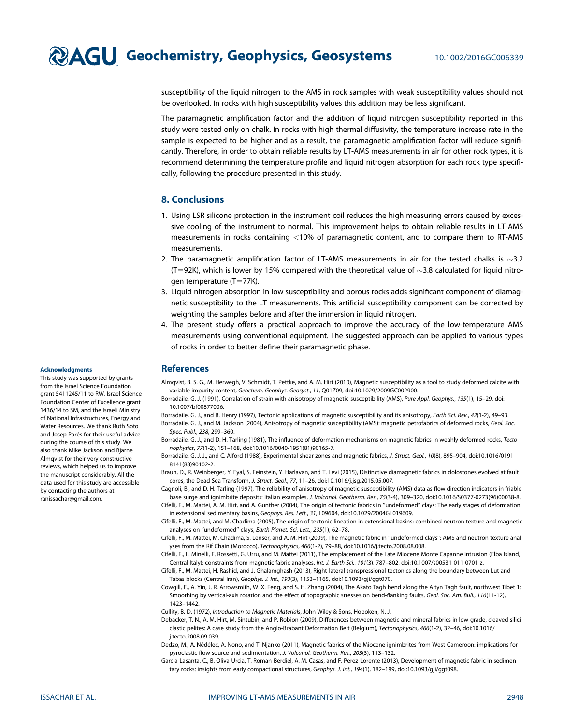susceptibility of the liquid nitrogen to the AMS in rock samples with weak susceptibility values should not be overlooked. In rocks with high susceptibility values this addition may be less significant.

The paramagnetic amplification factor and the addition of liquid nitrogen susceptibility reported in this study were tested only on chalk. In rocks with high thermal diffusivity, the temperature increase rate in the sample is expected to be higher and as a result, the paramagnetic amplification factor will reduce significantly. Therefore, in order to obtain reliable results by LT-AMS measurements in air for other rock types, it is recommend determining the temperature profile and liquid nitrogen absorption for each rock type specifically, following the procedure presented in this study.

#### 8. Conclusions

- 1. Using LSR silicone protection in the instrument coil reduces the high measuring errors caused by excessive cooling of the instrument to normal. This improvement helps to obtain reliable results in LT-AMS measurements in rocks containing <10% of paramagnetic content, and to compare them to RT-AMS measurements.
- 2. The paramagnetic amplification factor of LT-AMS measurements in air for the tested chalks is  $\sim$ 3.2  $(T=92K)$ , which is lower by 15% compared with the theoretical value of  $\sim$ 3.8 calculated for liquid nitrogen temperature  $(T=77K)$ .
- 3. Liquid nitrogen absorption in low susceptibility and porous rocks adds significant component of diamagnetic susceptibility to the LT measurements. This artificial susceptibility component can be corrected by weighting the samples before and after the immersion in liquid nitrogen.
- 4. The present study offers a practical approach to improve the accuracy of the low-temperature AMS measurements using conventional equipment. The suggested approach can be applied to various types of rocks in order to better define their paramagnetic phase.

#### References

- Almqvist, B. S. G., M. Herwegh, V. Schmidt, T. Pettke, and A. M. Hirt (2010), Magnetic susceptibility as a tool to study deformed calcite with variable impurity content, Geochem. Geophys. Geosyst., 11, Q01Z09, doi[:10.1029/2009GC002900.](http://dx.doi.org/10.1029/2009GC002900)
- Borradaile, G. J. (1991), Corralation of strain with anisotropy of magnetic-susceptibility (AMS), Pure Appl. Geophys., 135(1), 15–29, doi: [10.1007/bf00877006](http://dx.doi.org/10.1007/bf00877006).
- Borradaile, G. J., and B. Henry (1997), Tectonic applications of magnetic susceptibility and its anisotropy, Earth Sci. Rev., 42(1-2), 49-93.
- Borradaile, G. J., and M. Jackson (2004), Anisotropy of magnetic susceptibility (AMS): magnetic petrofabrics of deformed rocks, Geol. Soc. Spec. Publ., 238, 299–360.
- Borradaile, G. J., and D. H. Tarling (1981), The influence of deformation mechanisms on magnetic fabrics in weahly deformed rocks, Tectonophysics, 77(1-2), 151–168, doi:[10.1016/0040-1951\(81\)90165-7.](http://dx.doi.org/10.1016/0040-1951(81)90165-7)

Borradaile, G. J. J., and C. Alford (1988), Experimental shear zones and magnetic fabrics, J. Struct. Geol., 10(8), 895–904, doi[:10.1016/0191-](http://dx.doi.org/10.1016/0191-8141(88)90102-2) [8141\(88\)90102-2](http://dx.doi.org/10.1016/0191-8141(88)90102-2).

Braun, D., R. Weinberger, Y. Eyal, S. Feinstein, Y. Harlavan, and T. Levi (2015), Distinctive diamagnetic fabrics in dolostones evolved at fault cores, the Dead Sea Transform, J. Struct. Geol., 77, 11–26, doi:[10.1016/j.jsg.2015.05.007.](http://dx.doi.org/10.1016/j.jsg.2015.05.007)

Cagnoli, B., and D. H. Tarling (1997), The reliability of anisotropy of magnetic susceptibility (AMS) data as flow direction indicators in friable base surge and ignimbrite deposits: Italian examples, J. Volcanol. Geotherm. Res., 75(3-4), 309–320, doi[:10.1016/S0377-0273\(96\)00038-8](http://dx.doi.org/10.1016/S0377-0273(96)00038-8). Cifelli, F., M. Mattei, A. M. Hirt, and A. Gunther (2004), The origin of tectonic fabrics in ''undeformed'' clays: The early stages of deformation

in extensional sedimentary basins, Geophys. Res. Lett., 31, L09604, doi[:10.1029/2004GL019609](http://dx.doi.org/10.1029/2004GL019609). Cifelli, F., M. Mattei, and M. Chadima (2005), The origin of tectonic lineation in extensional basins: combined neutron texture and magnetic

analyses on ''undeformed'' clays, Earth Planet. Sci. Lett., 235(1), 62–78.

Cifelli, F., M. Mattei, M. Chadima, S. Lenser, and A. M. Hirt (2009), The magnetic fabric in ''undeformed clays'': AMS and neutron texture analyses from the Rif Chain (Morocco), Tectonophysics, 466(1-2), 79–88, doi:[10.1016/j.tecto.2008.08.008](http://dx.doi.org/10.1016/j.tecto.2008.08.008).

Cifelli, F., L. Minelli, F. Rossetti, G. Urru, and M. Mattei (2011), The emplacement of the Late Miocene Monte Capanne intrusion (Elba Island, Central Italy): constraints from magnetic fabric analyses, Int. J. Earth Sci., 101(3), 787–802, doi:[10.1007/s00531-011-0701-z](http://dx.doi.org/10.1007/s00531-011-0701-z).

Cifelli, F., M. Mattei, H. Rashid, and J. Ghalamghash (2013), Right-lateral transpressional tectonics along the boundary between Lut and Tabas blocks (Central Iran), Geophys. J. Int., 193(3), 1153–1165, doi[:10.1093/gji/ggt070.](http://dx.doi.org/10.1093/gji/ggt070)

Cowgill, E., A. Yin, J. R. Arrowsmith, W. X. Feng, and S. H. Zhang (2004), The Akato Tagh bend along the Altyn Tagh fault, northwest Tibet 1: Smoothing by vertical-axis rotation and the effect of topographic stresses on bend-flanking faults, Geol. Soc. Am. Bull., 116(11-12), 1423–1442.

Cullity, B. D. (1972), Introduction to Magnetic Materials, John Wiley & Sons, Hoboken, N. J.

Debacker, T. N., A. M. Hirt, M. Sintubin, and P. Robion (2009), Differences between magnetic and mineral fabrics in low-grade, cleaved siliciclastic pelites: A case study from the Anglo-Brabant Deformation Belt (Belgium), Tectonophysics, 466(1-2), 32–46, doi:[10.1016/](http://dx.doi.org/10.1016/j.tecto.2008.09.039) [j.tecto.2008.09.039.](http://dx.doi.org/10.1016/j.tecto.2008.09.039)

Dedzo, M., A. Nédélec, A. Nono, and T. Njanko (2011), Magnetic fabrics of the Miocene ignimbrites from West-Cameroon: implications for pyroclastic flow source and sedimentation, J. Volcanol. Geotherm. Res., 203(3), 113–132.

Garcia-Lasanta, C., B. Oliva-Urcia, T. Roman-Berdiel, A. M. Casas, and F. Perez-Lorente (2013), Development of magnetic fabric in sedimen-tary rocks: insights from early compactional structures, Geophys. J. Int., 194(1), 182-199, doi:[10.1093/gji/ggt098](http://dx.doi.org/10.1093/gji/ggt098).

#### Acknowledgments

This study was supported by grants from the Israel Science Foundation grant 5411245/11 to RW, Israel Science Foundation Center of Excellence grant 1436/14 to SM, and the Israeli Ministry of National Infrastructures, Energy and Water Resources. We thank Ruth Soto and Josep Parés for their useful advice during the course of this study. We also thank Mike Jackson and Bjarne Almqvist for their very constructive reviews, which helped us to improve the manuscript considerably. All the data used for this study are accessible by contacting the authors at ranissachar@gmail.com.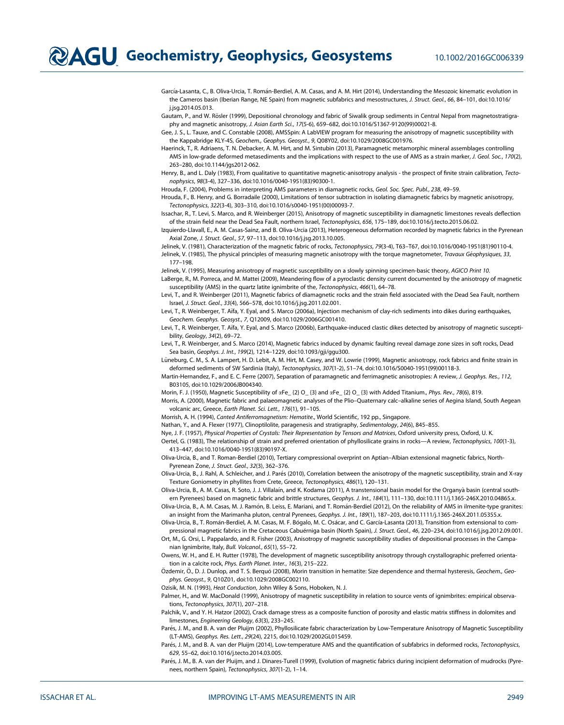García-Lasanta, C., B. Oliva-Urcia, T. Román-Berdiel, A. M. Casas, and A. M. Hirt (2014), Understanding the Mesozoic kinematic evolution in the Cameros basin (Iberian Range, NE Spain) from magnetic subfabrics and mesostructures, J. Struct. Geol., 66, 84–101, doi[:10.1016/](http://dx.doi.org/10.1016/j.jsg.2014.05.013) [j.jsg.2014.05.013.](http://dx.doi.org/10.1016/j.jsg.2014.05.013)

Gautam, P., and W. Rösler (1999), Depositional chronology and fabric of Siwalik group sediments in Central Nepal from magnetostratigraphy and magnetic anisotropy, J. Asian Earth Sci., 17(5-6), 659–682, doi[:10.1016/S1367-9120\(99\)00021-8](http://dx.doi.org/10.1016/S1367-9120(99)00021-8).

Gee, J. S., L. Tauxe, and C. Constable (2008), AMSSpin: A LabVIEW program for measuring the anisotropy of magnetic susceptibility with the Kappabridge KLY-4S, Geochem., Geophys. Geosyst., 9, Q08Y02, doi:[10.1029/2008GC001976.](http://dx.doi.org/10.1029/2008GC001976)

Haerinck, T., R. Adriaens, T. N. Debacker, A. M. Hirt, and M. Sintubin (2013), Paramagnetic metamorphic mineral assemblages controlling AMS in low-grade deformed metasediments and the implications with respect to the use of AMS as a strain marker, J. Geol. Soc., 170(2), 263–280, doi[:10.1144/jgs2012-062.](http://dx.doi.org/10.1144/jgs2012-062)

Henry, B., and L. Daly (1983), From qualitative to quantitative magnetic-anisotropy analysis - the prospect of finite strain calibration, Tectonophysics, 98(3-4), 327–336, doi:[10.1016/0040-1951\(83\)90300-1.](http://dx.doi.org/10.1016/0040-1951(83)90300-1)

Hrouda, F. (2004), Problems in interpreting AMS parameters in diamagnetic rocks, Geol. Soc. Spec. Publ., 238, 49–59.

Hrouda, F., B. Henry, and G. Borradaile (2000), Limitations of tensor subtraction in isolating diamagnetic fabrics by magnetic anisotropy, Tectonophysics, 322(3-4), 303–310, doi:[10.1016/s0040-1951\(00\)00093-7.](http://dx.doi.org/10.1016/s0040-1951(00)00093-7)

Issachar, R., T. Levi, S. Marco, and R. Weinberger (2015), Anisotropy of magnetic susceptibility in diamagnetic limestones reveals deflection of the strain field near the Dead Sea Fault, northern Israel, Tectonophysics, 656, 175–189, doi[:10.1016/j.tecto.2015.06.02](http://dx.doi.org/10.1016/j.tecto.2015.06.02).

Izquierdo-Llavall, E., A. M. Casas-Sainz, and B. Oliva-Urcia (2013), Heterogeneous deformation recorded by magnetic fabrics in the Pyrenean Axial Zone, J. Struct. Geol., 57, 97–113, doi[:10.1016/j.jsg.2013.10.005.](http://dx.doi.org/10.1016/j.jsg.2013.10.005)

Jelinek, V. (1981), Characterization of the magnetic fabric of rocks, Tectonophysics, 79(3-4), T63–T67, doi:[10.1016/0040-1951\(81\)90110-4.](http://dx.doi.org/10.1016/0040-1951(81)90110-4) Jelinek, V. (1985), The physical principles of measuring magnetic anisotropy with the torque magnetometer, Travaux Géophysiques, 33, 177–198.

Jelinek, V. (1995), Measuring anisotropy of magnetic susceptibility on a slowly spinning specimen-basic theory, AGICO Print 10. LaBerge, R., M. Porreca, and M. Mattei (2009), Meandering flow of a pyroclastic density current documented by the anisotropy of magnetic susceptibility (AMS) in the quartz latite ignimbrite of the, Tectonophysics, 466(1), 64–78.

Levi, T., and R. Weinberger (2011), Magnetic fabrics of diamagnetic rocks and the strain field associated with the Dead Sea Fault, northern Israel, J. Struct. Geol., 33(4), 566–578, doi[:10.1016/j.jsg.2011.02.001](http://dx.doi.org/10.1016/j.jsg.2011.02.001).

Levi, T., R. Weinberger, T. Aïfa, Y. Eyal, and S. Marco (2006a), Injection mechanism of clay-rich sediments into dikes during earthquakes, Geochem. Geophys. Geosyst., 7, Q12009, doi:[10.1029/2006GC001410.](http://dx.doi.org/10.1029/2006GC001410)

Levi, T., R. Weinberger, T. A€ıfa, Y. Eyal, and S. Marco (2006b), Earthquake-induced clastic dikes detected by anisotropy of magnetic susceptibility, Geology, 34(2), 69–72.

Levi, T., R. Weinberger, and S. Marco (2014), Magnetic fabrics induced by dynamic faulting reveal damage zone sizes in soft rocks, Dead Sea basin, Geophys. J. Int., 199(2), 1214–1229, doi[:10.1093/gji/ggu300](http://dx.doi.org/10.1093/gji/ggu300).

Lüneburg, C. M., S. A. Lampert, H. D. Lebit, A. M. Hirt, M. Casey, and W. Lowrie (1999), Magnetic anisotropy, rock fabrics and finite strain in deformed sediments of SW Sardinia (Italy), Tectonophysics, 307(1-2), 51–74, doi:[10.1016/S0040-1951\(99\)00118-3](http://dx.doi.org/10.1016/S0040-1951(99)00118-3).

Martin-Hernandez, F., and E. C. Ferre (2007), Separation of paramagnetic and ferrimagnetic anisotropies: A review, J. Geophys. Res., 112, B03105, doi:[10.1029/2006JB004340](http://dx.doi.org/10.1029/2006JB004340).

Morin, F. J. (1950), Magnetic Susceptibility of  $\alpha$ Fe\_ {2} O\_ {3} and  $\alpha$ Fe\_ {2} O\_ {3} with Added Titanium., Phys. Rev., 78(6), 819.

Morris, A. (2000), Magnetic fabric and palaeomagnetic analyses of the Plio–Quaternary calc–alkaline series of Aegina Island, South Aegean volcanic arc, Greece, Earth Planet. Sci. Lett., 176(1), 91–105.

Morrish, A. H. (1994), Canted Antiferromagnetism: Hematite., World Scientific, 192 pp., Singapore.

Nathan, Y., and A. Flexer (1977), Clinoptilolite, paragenesis and stratigraphy, Sedimentology, 24(6), 845-855.

Nye, J. F. (1957), Physical Properties of Crystals: Their Representation by Tensors and Matrices, Oxford university press, Oxford, U. K.

Oertel, G. (1983), The relationship of strain and preferred orientation of phyllosilicate grains in rocks—A review, Tectonophysics, 100(1-3), 413–447, doi[:10.1016/0040-1951\(83\)90197-X](http://dx.doi.org/10.1016/0040-1951(83)90197-X).

Oliva-Urcia, B., and T. Roman-Berdiel (2010), Tertiary compressional overprint on Aptian–Albian extensional magnetic fabrics, North-Pyrenean Zone, J. Struct. Geol., 32(3), 362–376.

Oliva-Urcia, B., J. Rahl, A. Schleicher, and J. Parés (2010), Correlation between the anisotropy of the magnetic susceptibility, strain and X-ray Texture Goniometry in phyllites from Crete, Greece, Tectonophysics, 486(1), 120–131.

Oliva-Urcia, B., A. M. Casas, R. Soto, J. J. Villalaín, and K. Kodama (2011), A transtensional basin model for the Organyà basin (central south-ern Pyrenees) based on magnetic fabric and brittle structures, Geophys. J. Int., 184(1), 111-130, doi:[10.1111/j.1365-246X.2010.04865.x.](http://dx.doi.org/10.1111/j.1365-246X.2010.04865.x)

Oliva-Urcia, B., A. M. Casas, M. J. Ramón, B. Leiss, E. Mariani, and T. Román-Berdiel (2012), On the reliability of AMS in ilmenite-type granites: an insight from the Marimanha pluton, central Pyrenees, Geophys. J. Int., 189(1), 187-203, doi:[10.1111/j.1365-246X.2011.05355.x.](http://dx.doi.org/10.1111/j.1365-246X.2011.05355.x)

Oliva-Urcia, B., T. Román-Berdiel, A. M. Casas, M. F. Bógalo, M. C. Osácar, and C. García-Lasanta (2013), Transition from extensional to com-pressional magnetic fabrics in the Cretaceous Cabuérniga basin (North Spain), J. Struct. Geol., 46, 220-234, doi[:10.1016/j.jsg.2012.09.001](http://dx.doi.org/10.1016/j.jsg.2012.09.001). Ort, M., G. Orsi, L. Pappalardo, and R. Fisher (2003), Anisotropy of magnetic susceptibility studies of depositional processes in the Campa-

nian Ignimbrite, Italy, Bull. Volcanol., 65(1), 55–72.

Owens, W. H., and E. H. Rutter (1978), The development of magnetic susceptibility anisotropy through crystallographic preferred orientation in a calcite rock, Phys. Earth Planet. Inter., 16(3), 215–222.

Özdemir, Ö., D. J. Dunlop, and T. S. Berquó (2008), Morin transition in hematite: Size dependence and thermal hysteresis, Geochem., Geophys. Geosyst., 9, Q10Z01, doi:10.1029/2008GC002110.

Ozisik, M. N. (1993), Heat Conduction, John Wiley & Sons, Hoboken, N. J.

Palmer, H., and W. MacDonald (1999), Anisotropy of magnetic susceptibility in relation to source vents of ignimbrites: empirical observations, Tectonophysics, 307(1), 207–218.

Palchik, V., and Y. H. Hatzor (2002), Crack damage stress as a composite function of porosity and elastic matrix stiffness in dolomites and limestones, Engineering Geology, 63(3), 233–245.

Parés, J. M., and B. A. van der Pluijm (2002), Phyllosilicate fabric characterization by Low-Temperature Anisotropy of Magnetic Susceptibility (LT-AMS), Geophys. Res. Lett., 29(24), 2215, doi:[10.1029/2002GL015459.](http://dx.doi.org/10.1029/2002GL015459)

Parés, J. M., and B. A. van der Pluijm (2014), Low-temperature AMS and the quantification of subfabrics in deformed rocks, Tectonophysics, 629, 55–62, doi[:10.1016/j.tecto.2014.03.005.](http://dx.doi.org/10.1016/j.tecto.2014.03.005)

Parés, J. M., B. A. van der Pluijm, and J. Dinares-Turell (1999), Evolution of magnetic fabrics during incipient deformation of mudrocks (Pyrenees, northern Spain), Tectonophysics, 307(1-2), 1–14.